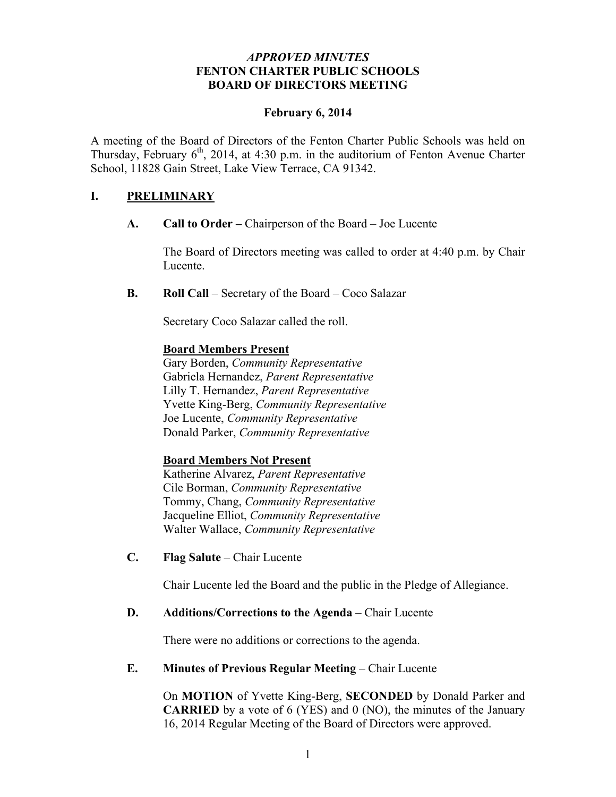### *APPROVED MINUTES* **FENTON CHARTER PUBLIC SCHOOLS BOARD OF DIRECTORS MEETING**

### **February 6, 2014**

A meeting of the Board of Directors of the Fenton Charter Public Schools was held on Thursday, February  $6<sup>th</sup>$ , 2014, at 4:30 p.m. in the auditorium of Fenton Avenue Charter School, 11828 Gain Street, Lake View Terrace, CA 91342.

## **I. PRELIMINARY**

**A. Call to Order –** Chairperson of the Board – Joe Lucente

The Board of Directors meeting was called to order at 4:40 p.m. by Chair Lucente.

**B. Roll Call** – Secretary of the Board – Coco Salazar

Secretary Coco Salazar called the roll.

#### **Board Members Present**

Gary Borden, *Community Representative* Gabriela Hernandez, *Parent Representative* Lilly T. Hernandez, *Parent Representative* Yvette King-Berg, *Community Representative* Joe Lucente, *Community Representative* Donald Parker, *Community Representative*

#### **Board Members Not Present**

Katherine Alvarez, *Parent Representative* Cile Borman, *Community Representative* Tommy, Chang, *Community Representative* Jacqueline Elliot, *Community Representative* Walter Wallace, *Community Representative*

**C. Flag Salute** – Chair Lucente

Chair Lucente led the Board and the public in the Pledge of Allegiance.

#### **D. Additions/Corrections to the Agenda** – Chair Lucente

There were no additions or corrections to the agenda.

#### **E. Minutes of Previous Regular Meeting – Chair Lucente**

On **MOTION** of Yvette King-Berg, **SECONDED** by Donald Parker and **CARRIED** by a vote of 6 (YES) and 0 (NO), the minutes of the January 16, 2014 Regular Meeting of the Board of Directors were approved.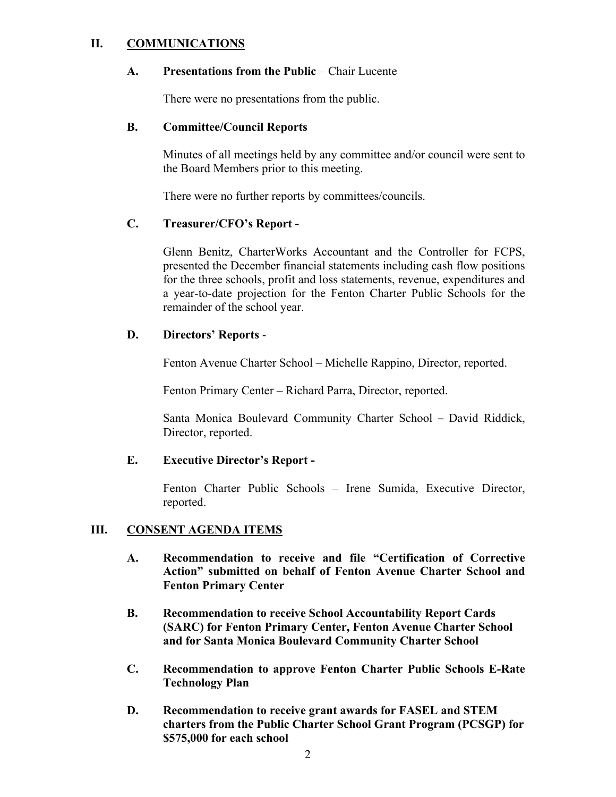### **II. COMMUNICATIONS**

#### **A. Presentations from the Public** – Chair Lucente

There were no presentations from the public.

#### **B. Committee/Council Reports**

Minutes of all meetings held by any committee and/or council were sent to the Board Members prior to this meeting.

There were no further reports by committees/councils.

### **C. Treasurer/CFO's Report -**

Glenn Benitz, CharterWorks Accountant and the Controller for FCPS, presented the December financial statements including cash flow positions for the three schools, profit and loss statements, revenue, expenditures and a year-to-date projection for the Fenton Charter Public Schools for the remainder of the school year.

### **D. Directors' Reports** -

Fenton Avenue Charter School – Michelle Rappino, Director, reported.

Fenton Primary Center – Richard Parra, Director, reported.

Santa Monica Boulevard Community Charter School – David Riddick, Director, reported.

#### **E. Executive Director's Report -**

Fenton Charter Public Schools – Irene Sumida, Executive Director, reported.

#### **III. CONSENT AGENDA ITEMS**

- **A. Recommendation to receive and file "Certification of Corrective Action" submitted on behalf of Fenton Avenue Charter School and Fenton Primary Center**
- **B. Recommendation to receive School Accountability Report Cards (SARC) for Fenton Primary Center, Fenton Avenue Charter School and for Santa Monica Boulevard Community Charter School**
- **C. Recommendation to approve Fenton Charter Public Schools E-Rate Technology Plan**
- **D. Recommendation to receive grant awards for FASEL and STEM charters from the Public Charter School Grant Program (PCSGP) for \$575,000 for each school**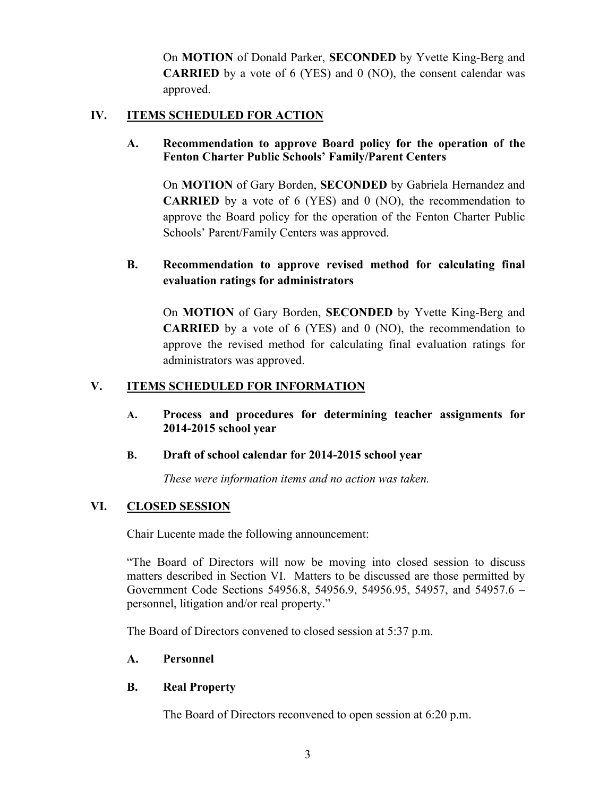On **MOTION** of Donald Parker, **SECONDED** by Yvette King-Berg and **CARRIED** by a vote of 6 (YES) and 0 (NO), the consent calendar was approved.

## **IV. ITEMS SCHEDULED FOR ACTION**

## **A. Recommendation to approve Board policy for the operation of the Fenton Charter Public Schools' Family/Parent Centers**

On **MOTION** of Gary Borden, **SECONDED** by Gabriela Hernandez and **CARRIED** by a vote of 6 (YES) and 0 (NO), the recommendation to approve the Board policy for the operation of the Fenton Charter Public Schools' Parent/Family Centers was approved.

# **B. Recommendation to approve revised method for calculating final evaluation ratings for administrators**

On **MOTION** of Gary Borden, **SECONDED** by Yvette King-Berg and **CARRIED** by a vote of 6 (YES) and 0 (NO), the recommendation to approve the revised method for calculating final evaluation ratings for administrators was approved.

# **V. ITEMS SCHEDULED FOR INFORMATION**

**A. Process and procedures for determining teacher assignments for 2014-2015 school year**

#### **B. Draft of school calendar for 2014-2015 school year**

*These were information items and no action was taken.*

## **VI. CLOSED SESSION**

Chair Lucente made the following announcement:

"The Board of Directors will now be moving into closed session to discuss matters described in Section VI. Matters to be discussed are those permitted by Government Code Sections 54956.8, 54956.9, 54956.95, 54957, and 54957.6 – personnel, litigation and/or real property."

The Board of Directors convened to closed session at 5:37 p.m.

#### **A. Personnel**

## **B. Real Property**

The Board of Directors reconvened to open session at 6:20 p.m.